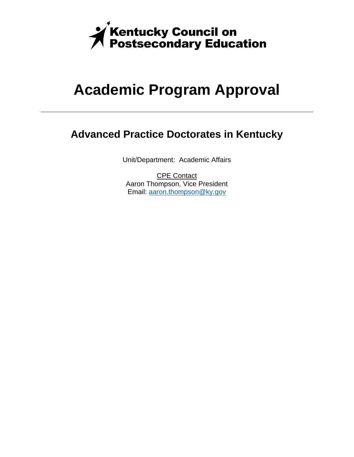

# **Academic Program Approval**

### **Advanced Practice Doctorates in Kentucky**

Unit/Department: Academic Affairs

CPE Contact Aaron Thompson, Vice President Email: aaron.thompson@ky.gov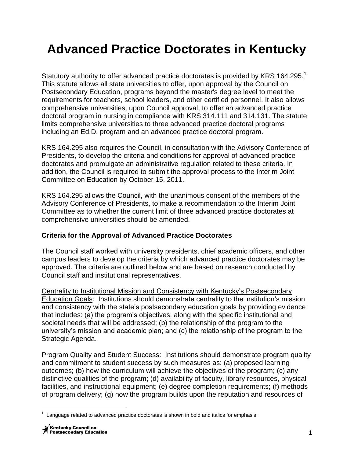## **Advanced Practice Doctorates in Kentucky**

Statutory authority to offer advanced practice doctorates is provided by KRS 164.295.<sup>1</sup> This statute allows all state universities to offer, upon approval by the Council on Postsecondary Education, programs beyond the master's degree level to meet the requirements for teachers, school leaders, and other certified personnel. It also allows comprehensive universities, upon Council approval, to offer an advanced practice doctoral program in nursing in compliance with KRS 314.111 and 314.131. The statute limits comprehensive universities to three advanced practice doctoral programs including an Ed.D. program and an advanced practice doctoral program.

KRS 164.295 also requires the Council, in consultation with the Advisory Conference of Presidents, to develop the criteria and conditions for approval of advanced practice doctorates and promulgate an administrative regulation related to these criteria. In addition, the Council is required to submit the approval process to the Interim Joint Committee on Education by October 15, 2011.

KRS 164.295 allows the Council, with the unanimous consent of the members of the Advisory Conference of Presidents, to make a recommendation to the Interim Joint Committee as to whether the current limit of three advanced practice doctorates at comprehensive universities should be amended.

### **Criteria for the Approval of Advanced Practice Doctorates**

The Council staff worked with university presidents, chief academic officers, and other campus leaders to develop the criteria by which advanced practice doctorates may be approved. The criteria are outlined below and are based on research conducted by Council staff and institutional representatives.

Centrality to Institutional Mission and Consistency with Kentucky's Postsecondary Education Goals: Institutions should demonstrate centrality to the institution's mission and consistency with the state's postsecondary education goals by providing evidence that includes: (a) the program's objectives, along with the specific institutional and societal needs that will be addressed; (b) the relationship of the program to the university's mission and academic plan; and (c) the relationship of the program to the Strategic Agenda.

Program Quality and Student Success: Institutions should demonstrate program quality and commitment to student success by such measures as: (a) proposed learning outcomes; (b) how the curriculum will achieve the objectives of the program; (c) any distinctive qualities of the program; (d) availability of faculty, library resources, physical facilities, and instructional equipment; (e) degree completion requirements; (f) methods of program delivery; (g) how the program builds upon the reputation and resources of

 $\overline{\phantom{a}}$  $1$  Language related to advanced practice doctorates is shown in bold and italics for emphasis.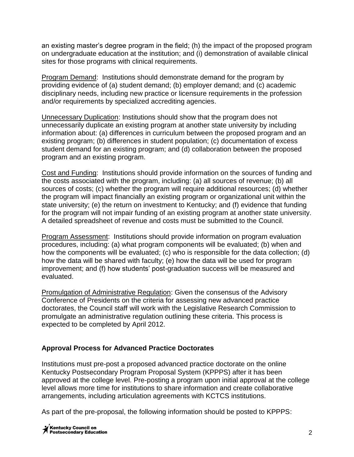an existing master's degree program in the field; (h) the impact of the proposed program on undergraduate education at the institution; and (i) demonstration of available clinical sites for those programs with clinical requirements.

Program Demand: Institutions should demonstrate demand for the program by providing evidence of (a) student demand; (b) employer demand; and (c) academic disciplinary needs, including new practice or licensure requirements in the profession and/or requirements by specialized accrediting agencies.

Unnecessary Duplication: Institutions should show that the program does not unnecessarily duplicate an existing program at another state university by including information about: (a) differences in curriculum between the proposed program and an existing program; (b) differences in student population; (c) documentation of excess student demand for an existing program; and (d) collaboration between the proposed program and an existing program.

Cost and Funding: Institutions should provide information on the sources of funding and the costs associated with the program, including: (a) all sources of revenue; (b) all sources of costs; (c) whether the program will require additional resources; (d) whether the program will impact financially an existing program or organizational unit within the state university; (e) the return on investment to Kentucky; and (f) evidence that funding for the program will not impair funding of an existing program at another state university. A detailed spreadsheet of revenue and costs must be submitted to the Council.

Program Assessment: Institutions should provide information on program evaluation procedures, including: (a) what program components will be evaluated; (b) when and how the components will be evaluated; (c) who is responsible for the data collection; (d) how the data will be shared with faculty; (e) how the data will be used for program improvement; and (f) how students' post-graduation success will be measured and evaluated.

Promulgation of Administrative Regulation: Given the consensus of the Advisory Conference of Presidents on the criteria for assessing new advanced practice doctorates, the Council staff will work with the Legislative Research Commission to promulgate an administrative regulation outlining these criteria. This process is expected to be completed by April 2012.

### **Approval Process for Advanced Practice Doctorates**

Institutions must pre-post a proposed advanced practice doctorate on the online Kentucky Postsecondary Program Proposal System (KPPPS) after it has been approved at the college level. Pre-posting a program upon initial approval at the college level allows more time for institutions to share information and create collaborative arrangements, including articulation agreements with KCTCS institutions.

As part of the pre-proposal, the following information should be posted to KPPPS: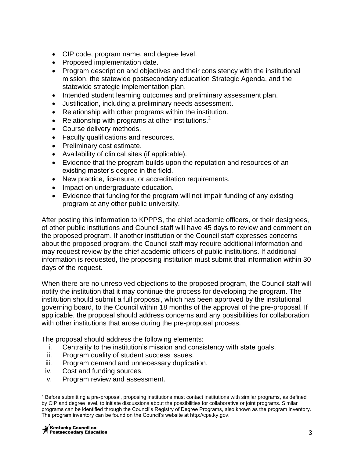- CIP code, program name, and degree level.
- Proposed implementation date.
- Program description and objectives and their consistency with the institutional mission, the statewide postsecondary education Strategic Agenda, and the statewide strategic implementation plan.
- Intended student learning outcomes and preliminary assessment plan.
- Justification, including a preliminary needs assessment.
- Relationship with other programs within the institution.
- Relationship with programs at other institutions.<sup>2</sup>
- Course delivery methods.
- Faculty qualifications and resources.
- Preliminary cost estimate.
- Availability of clinical sites (if applicable).
- Evidence that the program builds upon the reputation and resources of an existing master's degree in the field.
- New practice, licensure, or accreditation requirements.
- Impact on undergraduate education.
- Evidence that funding for the program will not impair funding of any existing program at any other public university.

After posting this information to KPPPS, the chief academic officers, or their designees, of other public institutions and Council staff will have 45 days to review and comment on the proposed program. If another institution or the Council staff expresses concerns about the proposed program, the Council staff may require additional information and may request review by the chief academic officers of public institutions. If additional information is requested, the proposing institution must submit that information within 30 days of the request.

When there are no unresolved objections to the proposed program, the Council staff will notify the institution that it may continue the process for developing the program. The institution should submit a full proposal, which has been approved by the institutional governing board, to the Council within 18 months of the approval of the pre-proposal. If applicable, the proposal should address concerns and any possibilities for collaboration with other institutions that arose during the pre-proposal process.

The proposal should address the following elements:

- i. Centrality to the institution's mission and consistency with state goals.
- ii. Program quality of student success issues.
- iii. Program demand and unnecessary duplication.
- iv. Cost and funding sources.
- v. Program review and assessment.

 2 Before submitting a pre-proposal, proposing institutions must contact institutions with similar programs, as defined by CIP and degree level, to initiate discussions about the possibilities for collaborative or joint programs. Similar programs can be identified through the Council's Registry of Degree Programs, also known as the program inventory. The program inventory can be found on the Council's website at http://cpe.ky.gov.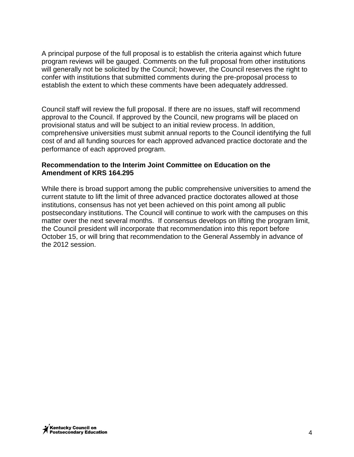A principal purpose of the full proposal is to establish the criteria against which future program reviews will be gauged. Comments on the full proposal from other institutions will generally not be solicited by the Council; however, the Council reserves the right to confer with institutions that submitted comments during the pre-proposal process to establish the extent to which these comments have been adequately addressed.

Council staff will review the full proposal. If there are no issues, staff will recommend approval to the Council. If approved by the Council, new programs will be placed on provisional status and will be subject to an initial review process. In addition, comprehensive universities must submit annual reports to the Council identifying the full cost of and all funding sources for each approved advanced practice doctorate and the performance of each approved program.

#### **Recommendation to the Interim Joint Committee on Education on the Amendment of KRS 164.295**

While there is broad support among the public comprehensive universities to amend the current statute to lift the limit of three advanced practice doctorates allowed at those institutions, consensus has not yet been achieved on this point among all public postsecondary institutions. The Council will continue to work with the campuses on this matter over the next several months. If consensus develops on lifting the program limit, the Council president will incorporate that recommendation into this report before October 15, or will bring that recommendation to the General Assembly in advance of the 2012 session.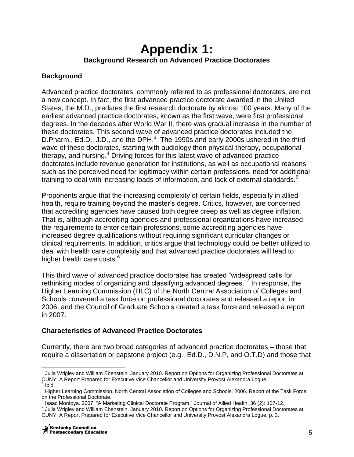### **Appendix 1: Background Research on Advanced Practice Doctorates**

### **Background**

Advanced practice doctorates, commonly referred to as professional doctorates, are not a new concept. In fact, the first advanced practice doctorate awarded in the United States, the M.D., predates the first research doctorate by almost 100 years. Many of the earliest advanced practice doctorates, known as the first wave, were first professional degrees. In the decades after World War II, there was gradual increase in the number of these doctorates. This second wave of advanced practice doctorates included the D. Pharm., Ed.D., J.D., and the DPH. $^3$  The 1990s and early 2000s ushered in the third wave of these doctorates, starting with audiology then physical therapy, occupational therapy, and nursing.<sup>4</sup> Driving forces for this latest wave of advanced practice doctorates include revenue generation for institutions, as well as occupational reasons such as the perceived need for legitimacy within certain professions, need for additional training to deal with increasing loads of information, and lack of external standards.<sup>5</sup>

Proponents argue that the increasing complexity of certain fields, especially in allied health, require training beyond the master's degree. Critics, however, are concerned that accrediting agencies have caused both degree creep as well as degree inflation. That is, although accrediting agencies and professional organizations have increased the requirements to enter certain professions, some accrediting agencies have increased degree qualifications without requiring significant curricular changes or clinical requirements. In addition, critics argue that technology could be better utilized to deal with health care complexity and that advanced practice doctorates will lead to higher health care costs.<sup>6</sup>

This third wave of advanced practice doctorates has created "widespread calls for rethinking modes of organizing and classifying advanced degrees."<sup>7</sup> In response, the Higher Learning Commission (HLC) of the North Central Association of Colleges and Schools convened a task force on professional doctorates and released a report in 2006, and the Council of Graduate Schools created a task force and released a report in 2007.

### **Characteristics of Advanced Practice Doctorates**

Currently, there are two broad categories of advanced practice doctorates – those that require a dissertation or capstone project (e.g., Ed.D., D.N.P, and O.T.D) and those that

 $\overline{\phantom{a}}$  $^3$  Julia Wrigley and William Ebenstein. January 2010. Report on Options for Organizing Professional Doctorates at CUNY: A Report Prepared for Executive Vice Chancellor and University Provost Alexandra Logue.<br><sup>4</sup> Ibid

Ibid.

<sup>5</sup> Higher Learning Commission, North Central Association of Colleges and Schools. 2006. Report of the Task Force on the Professional Doctorate.

<sup>&</sup>lt;sup>6</sup> Isaac Montoya. 2007. "A Marketing Clinical Doctorate Program." Journal of Allied Health, 36 (2): 107-12.

<sup>7</sup> Julia Wrigley and William Ebenstein. January 2010. Report on Options for Organizing Professional Doctorates at CUNY: A Report Prepared for Executive Vice Chancellor and University Provost Alexandra Logue, p. 3.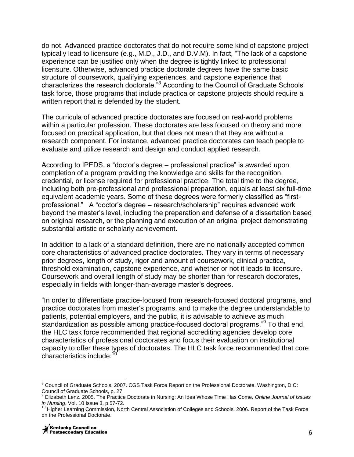do not. Advanced practice doctorates that do not require some kind of capstone project typically lead to licensure (e.g., M.D., J.D., and D.V.M). In fact, "The lack of a capstone experience can be justified only when the degree is tightly linked to professional licensure. Otherwise, advanced practice doctorate degrees have the same basic structure of coursework, qualifying experiences, and capstone experience that characterizes the research doctorate."<sup>8</sup> According to the Council of Graduate Schools' task force, those programs that include practica or capstone projects should require a written report that is defended by the student.

The curricula of advanced practice doctorates are focused on real-world problems within a particular profession. These doctorates are less focused on theory and more focused on practical application, but that does not mean that they are without a research component. For instance, advanced practice doctorates can teach people to evaluate and utilize research and design and conduct applied research.

According to IPEDS, a "doctor's degree – professional practice" is awarded upon completion of a program providing the knowledge and skills for the recognition, credential, or license required for professional practice. The total time to the degree, including both pre-professional and professional preparation, equals at least six full-time equivalent academic years. Some of these degrees were formerly classified as "firstprofessional." A "doctor's degree – research/scholarship" requires advanced work beyond the master's level, including the preparation and defense of a dissertation based on original research, or the planning and execution of an original project demonstrating substantial artistic or scholarly achievement.

In addition to a lack of a standard definition, there are no nationally accepted common core characteristics of advanced practice doctorates. They vary in terms of necessary prior degrees, length of study, rigor and amount of coursework, clinical practica, threshold examination, capstone experience, and whether or not it leads to licensure. Coursework and overall length of study may be shorter than for research doctorates, especially in fields with longer-than-average master's degrees.

"In order to differentiate practice-focused from research-focused doctoral programs, and practice doctorates from master's programs, and to make the degree understandable to patients, potential employers, and the public, it is advisable to achieve as much .<br>standardization as possible among practice-focused doctoral programs."<sup>9</sup> To that end, the HLC task force recommended that regional accrediting agencies develop core characteristics of professional doctorates and focus their evaluation on institutional capacity to offer these types of doctorates. The HLC task force recommended that core characteristics include:<sup>10</sup>

 $\overline{\phantom{a}}$ <sup>8</sup> Council of Graduate Schools. 2007. CGS Task Force Report on the Professional Doctorate. Washington, D.C: Council of Graduate Schools, p. 27.

<sup>9</sup> Elizabeth Lenz. 2005. The Practice Doctorate in Nursing: An Idea Whose Time Has Come. *Online Journal of Issues in Nursing*, Vol. 10 Issue 3, p 57-72.

<sup>&</sup>lt;sup>10</sup> Higher Learning Commission, North Central Association of Colleges and Schools. 2006. Report of the Task Force on the Professional Doctorate.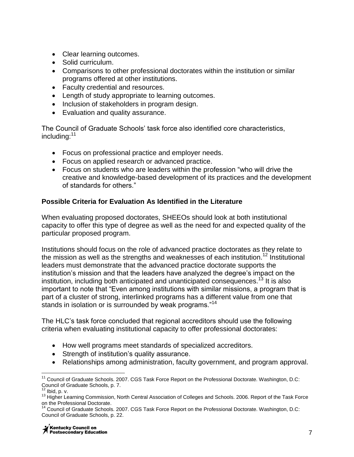- Clear learning outcomes.
- Solid curriculum.
- Comparisons to other professional doctorates within the institution or similar programs offered at other institutions.
- Faculty credential and resources.
- Length of study appropriate to learning outcomes.
- Inclusion of stakeholders in program design.
- Evaluation and quality assurance.

The Council of Graduate Schools' task force also identified core characteristics, including:<sup>11</sup>

- Focus on professional practice and employer needs.
- Focus on applied research or advanced practice.
- Focus on students who are leaders within the profession "who will drive the creative and knowledge-based development of its practices and the development of standards for others."

### **Possible Criteria for Evaluation As Identified in the Literature**

When evaluating proposed doctorates, SHEEOs should look at both institutional capacity to offer this type of degree as well as the need for and expected quality of the particular proposed program.

Institutions should focus on the role of advanced practice doctorates as they relate to the mission as well as the strengths and weaknesses of each institution.<sup>12</sup> Institutional leaders must demonstrate that the advanced practice doctorate supports the institution's mission and that the leaders have analyzed the degree's impact on the institution, including both anticipated and unanticipated consequences.<sup>13</sup> It is also important to note that "Even among institutions with similar missions, a program that is part of a cluster of strong, interlinked programs has a different value from one that stands in isolation or is surrounded by weak programs."<sup>14</sup>

The HLC's task force concluded that regional accreditors should use the following criteria when evaluating institutional capacity to offer professional doctorates:

- How well programs meet standards of specialized accreditors.
- Strength of institution's quality assurance.
- Relationships among administration, faculty government, and program approval.

 $\overline{a}$  $11$  Council of Graduate Schools. 2007. CGS Task Force Report on the Professional Doctorate. Washington, D.C: Council of Graduate Schools, p. 7. Ibid, p. v.

<sup>&</sup>lt;sup>13</sup> Higher Learning Commission, North Central Association of Colleges and Schools. 2006. Report of the Task Force on the Professional Doctorate.

Council of Graduate Schools. 2007. CGS Task Force Report on the Professional Doctorate. Washington, D.C: Council of Graduate Schools, p. 22.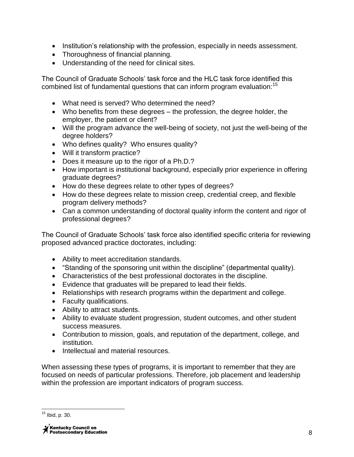- Institution's relationship with the profession, especially in needs assessment.
- Thoroughness of financial planning.
- Understanding of the need for clinical sites.

The Council of Graduate Schools' task force and the HLC task force identified this combined list of fundamental questions that can inform program evaluation:<sup>15</sup>

- What need is served? Who determined the need?
- Who benefits from these degrees the profession, the degree holder, the employer, the patient or client?
- Will the program advance the well-being of society, not just the well-being of the degree holders?
- Who defines quality? Who ensures quality?
- Will it transform practice?
- Does it measure up to the rigor of a Ph.D.?
- How important is institutional background, especially prior experience in offering graduate degrees?
- How do these degrees relate to other types of degrees?
- How do these degrees relate to mission creep, credential creep, and flexible program delivery methods?
- Can a common understanding of doctoral quality inform the content and rigor of professional degrees?

The Council of Graduate Schools' task force also identified specific criteria for reviewing proposed advanced practice doctorates, including:

- Ability to meet accreditation standards.
- "Standing of the sponsoring unit within the discipline" (departmental quality).
- Characteristics of the best professional doctorates in the discipline.
- Evidence that graduates will be prepared to lead their fields.
- Relationships with research programs within the department and college.
- Faculty qualifications.
- Ability to attract students.
- Ability to evaluate student progression, student outcomes, and other student success measures.
- Contribution to mission, goals, and reputation of the department, college, and institution.
- Intellectual and material resources.

When assessing these types of programs, it is important to remember that they are focused on needs of particular professions. Therefore, job placement and leadership within the profession are important indicators of program success.

 $\overline{\phantom{a}}$  $15$  Ibid, p. 30.